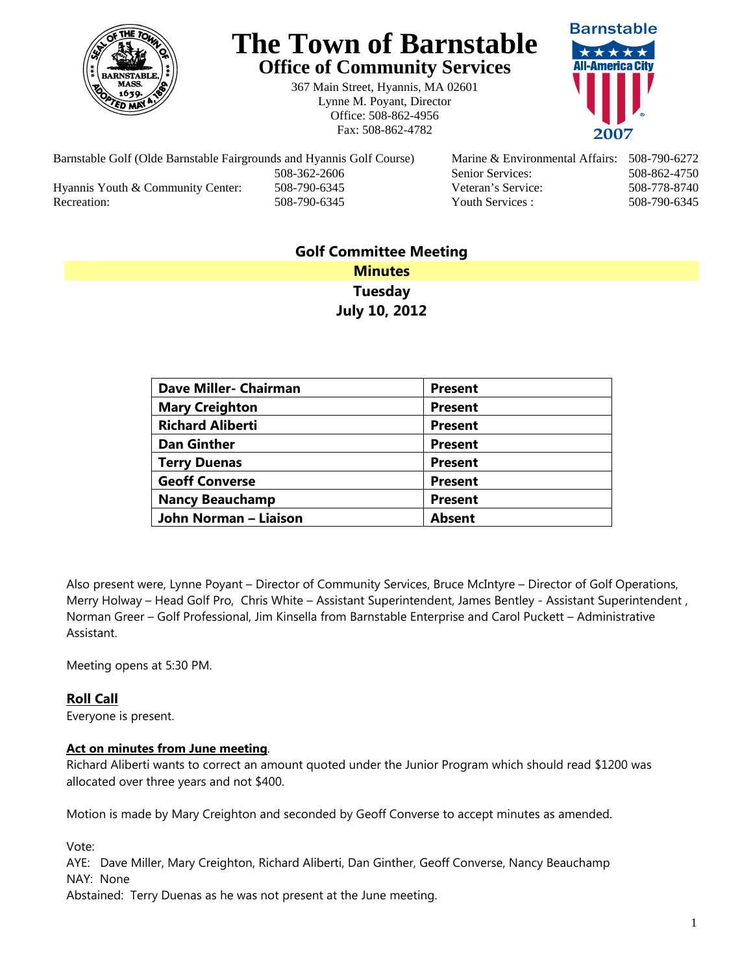

# **The Town of Barnstable Office of Community Services**

367 Main Street, Hyannis, MA 02601 Lynne M. Poyant, Director Office: 508-862-4956 Fax: 508-862-4782



Barnstable Golf (Olde Barnstable Fairgrounds and Hyannis Golf Course) Marine & Environmental Affairs: 508-790-6272 508-362-2606 Senior Services: 508-862-4750 Hyannis Youth & Community Center: 508-790-6345 Veteran's Service: 508-778-8740 Recreation: 508-790-6345 Youth Services : 508-790-6345 S08-790-6345

# **Golf Committee Meeting Minutes Tuesday July 10, 2012**

| <b>Dave Miller- Chairman</b> | <b>Present</b> |
|------------------------------|----------------|
| <b>Mary Creighton</b>        | <b>Present</b> |
| <b>Richard Aliberti</b>      | <b>Present</b> |
| <b>Dan Ginther</b>           | <b>Present</b> |
| <b>Terry Duenas</b>          | <b>Present</b> |
| <b>Geoff Converse</b>        | <b>Present</b> |
| <b>Nancy Beauchamp</b>       | <b>Present</b> |
| John Norman - Liaison        | <b>Absent</b>  |

Also present were, Lynne Poyant – Director of Community Services, Bruce McIntyre – Director of Golf Operations, Merry Holway – Head Golf Pro, Chris White – Assistant Superintendent, James Bentley - Assistant Superintendent , Norman Greer – Golf Professional, Jim Kinsella from Barnstable Enterprise and Carol Puckett – Administrative Assistant.

Meeting opens at 5:30 PM.

## **Roll Call**

Everyone is present.

#### **Act on minutes from June meeting**.

Richard Aliberti wants to correct an amount quoted under the Junior Program which should read \$1200 was allocated over three years and not \$400.

Motion is made by Mary Creighton and seconded by Geoff Converse to accept minutes as amended.

Vote:

AYE: Dave Miller, Mary Creighton, Richard Aliberti, Dan Ginther, Geoff Converse, Nancy Beauchamp NAY: None

Abstained: Terry Duenas as he was not present at the June meeting.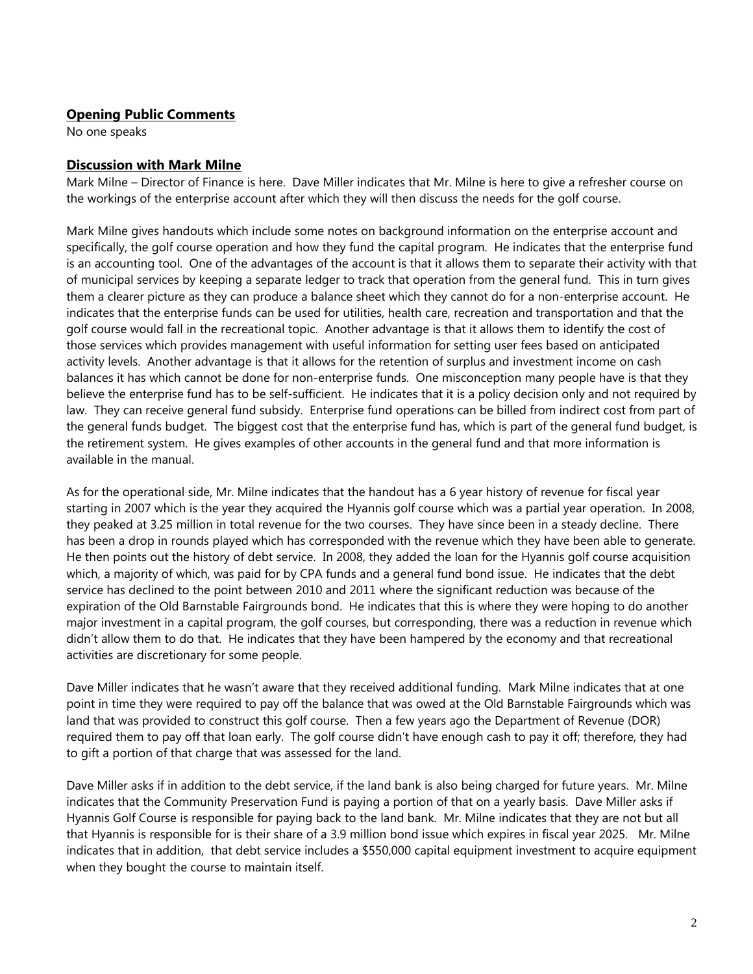### **Opening Public Comments**

No one speaks

#### **Discussion with Mark Milne**

Mark Milne – Director of Finance is here. Dave Miller indicates that Mr. Milne is here to give a refresher course on the workings of the enterprise account after which they will then discuss the needs for the golf course.

Mark Milne gives handouts which include some notes on background information on the enterprise account and specifically, the golf course operation and how they fund the capital program. He indicates that the enterprise fund is an accounting tool. One of the advantages of the account is that it allows them to separate their activity with that of municipal services by keeping a separate ledger to track that operation from the general fund. This in turn gives them a clearer picture as they can produce a balance sheet which they cannot do for a non-enterprise account. He indicates that the enterprise funds can be used for utilities, health care, recreation and transportation and that the golf course would fall in the recreational topic. Another advantage is that it allows them to identify the cost of those services which provides management with useful information for setting user fees based on anticipated activity levels. Another advantage is that it allows for the retention of surplus and investment income on cash balances it has which cannot be done for non-enterprise funds. One misconception many people have is that they believe the enterprise fund has to be self-sufficient. He indicates that it is a policy decision only and not required by law. They can receive general fund subsidy. Enterprise fund operations can be billed from indirect cost from part of the general funds budget. The biggest cost that the enterprise fund has, which is part of the general fund budget, is the retirement system. He gives examples of other accounts in the general fund and that more information is available in the manual.

As for the operational side, Mr. Milne indicates that the handout has a 6 year history of revenue for fiscal year starting in 2007 which is the year they acquired the Hyannis golf course which was a partial year operation. In 2008, they peaked at 3.25 million in total revenue for the two courses. They have since been in a steady decline. There has been a drop in rounds played which has corresponded with the revenue which they have been able to generate. He then points out the history of debt service. In 2008, they added the loan for the Hyannis golf course acquisition which, a majority of which, was paid for by CPA funds and a general fund bond issue. He indicates that the debt service has declined to the point between 2010 and 2011 where the significant reduction was because of the expiration of the Old Barnstable Fairgrounds bond. He indicates that this is where they were hoping to do another major investment in a capital program, the golf courses, but corresponding, there was a reduction in revenue which didn't allow them to do that. He indicates that they have been hampered by the economy and that recreational activities are discretionary for some people.

Dave Miller indicates that he wasn't aware that they received additional funding. Mark Milne indicates that at one point in time they were required to pay off the balance that was owed at the Old Barnstable Fairgrounds which was land that was provided to construct this golf course. Then a few years ago the Department of Revenue (DOR) required them to pay off that loan early. The golf course didn't have enough cash to pay it off; therefore, they had to gift a portion of that charge that was assessed for the land.

Dave Miller asks if in addition to the debt service, if the land bank is also being charged for future years. Mr. Milne indicates that the Community Preservation Fund is paying a portion of that on a yearly basis. Dave Miller asks if Hyannis Golf Course is responsible for paying back to the land bank. Mr. Milne indicates that they are not but all that Hyannis is responsible for is their share of a 3.9 million bond issue which expires in fiscal year 2025. Mr. Milne indicates that in addition, that debt service includes a \$550,000 capital equipment investment to acquire equipment when they bought the course to maintain itself.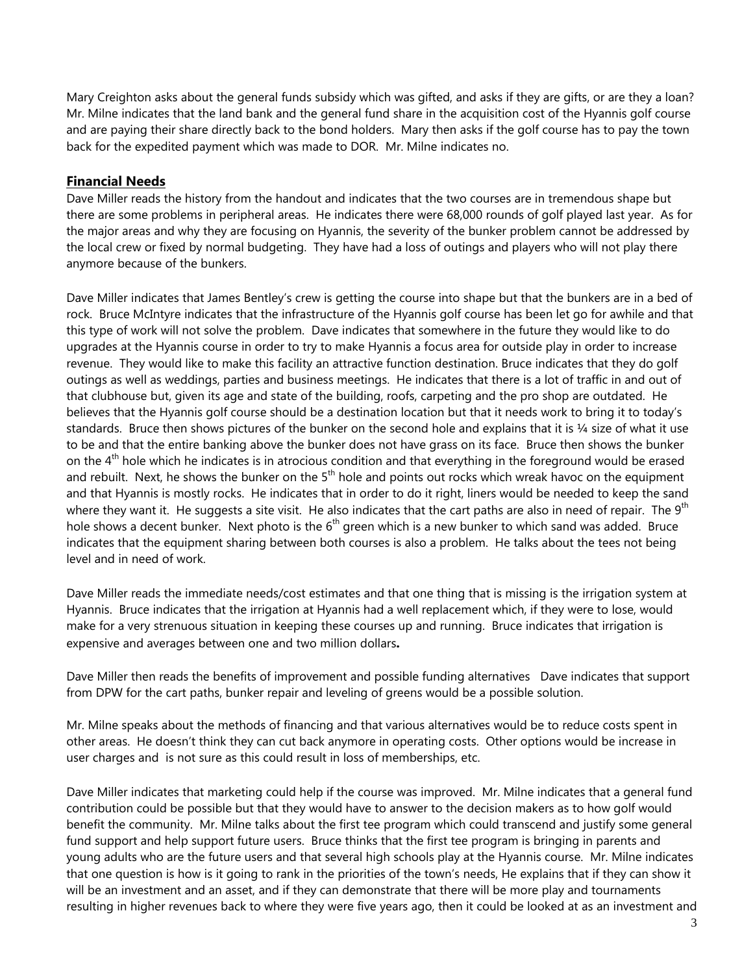Mary Creighton asks about the general funds subsidy which was gifted, and asks if they are gifts, or are they a loan? Mr. Milne indicates that the land bank and the general fund share in the acquisition cost of the Hyannis golf course and are paying their share directly back to the bond holders. Mary then asks if the golf course has to pay the town back for the expedited payment which was made to DOR. Mr. Milne indicates no.

#### **Financial Needs**

Dave Miller reads the history from the handout and indicates that the two courses are in tremendous shape but there are some problems in peripheral areas. He indicates there were 68,000 rounds of golf played last year. As for the major areas and why they are focusing on Hyannis, the severity of the bunker problem cannot be addressed by the local crew or fixed by normal budgeting. They have had a loss of outings and players who will not play there anymore because of the bunkers.

Dave Miller indicates that James Bentley's crew is getting the course into shape but that the bunkers are in a bed of rock. Bruce McIntyre indicates that the infrastructure of the Hyannis golf course has been let go for awhile and that this type of work will not solve the problem. Dave indicates that somewhere in the future they would like to do upgrades at the Hyannis course in order to try to make Hyannis a focus area for outside play in order to increase revenue. They would like to make this facility an attractive function destination. Bruce indicates that they do golf outings as well as weddings, parties and business meetings. He indicates that there is a lot of traffic in and out of that clubhouse but, given its age and state of the building, roofs, carpeting and the pro shop are outdated. He believes that the Hyannis golf course should be a destination location but that it needs work to bring it to today's standards. Bruce then shows pictures of the bunker on the second hole and explains that it is 1/4 size of what it use to be and that the entire banking above the bunker does not have grass on its face. Bruce then shows the bunker on the  $4<sup>th</sup>$  hole which he indicates is in atrocious condition and that everything in the foreground would be erased and rebuilt. Next, he shows the bunker on the  $5<sup>th</sup>$  hole and points out rocks which wreak havoc on the equipment and that Hyannis is mostly rocks. He indicates that in order to do it right, liners would be needed to keep the sand where they want it. He suggests a site visit. He also indicates that the cart paths are also in need of repair. The 9<sup>th</sup> hole shows a decent bunker. Next photo is the  $6<sup>th</sup>$  green which is a new bunker to which sand was added. Bruce indicates that the equipment sharing between both courses is also a problem. He talks about the tees not being level and in need of work.

Dave Miller reads the immediate needs/cost estimates and that one thing that is missing is the irrigation system at Hyannis. Bruce indicates that the irrigation at Hyannis had a well replacement which, if they were to lose, would make for a very strenuous situation in keeping these courses up and running. Bruce indicates that irrigation is expensive and averages between one and two million dollars**.** 

Dave Miller then reads the benefits of improvement and possible funding alternatives Dave indicates that support from DPW for the cart paths, bunker repair and leveling of greens would be a possible solution.

Mr. Milne speaks about the methods of financing and that various alternatives would be to reduce costs spent in other areas. He doesn't think they can cut back anymore in operating costs. Other options would be increase in user charges and is not sure as this could result in loss of memberships, etc.

Dave Miller indicates that marketing could help if the course was improved. Mr. Milne indicates that a general fund contribution could be possible but that they would have to answer to the decision makers as to how golf would benefit the community. Mr. Milne talks about the first tee program which could transcend and justify some general fund support and help support future users. Bruce thinks that the first tee program is bringing in parents and young adults who are the future users and that several high schools play at the Hyannis course. Mr. Milne indicates that one question is how is it going to rank in the priorities of the town's needs, He explains that if they can show it will be an investment and an asset, and if they can demonstrate that there will be more play and tournaments resulting in higher revenues back to where they were five years ago, then it could be looked at as an investment and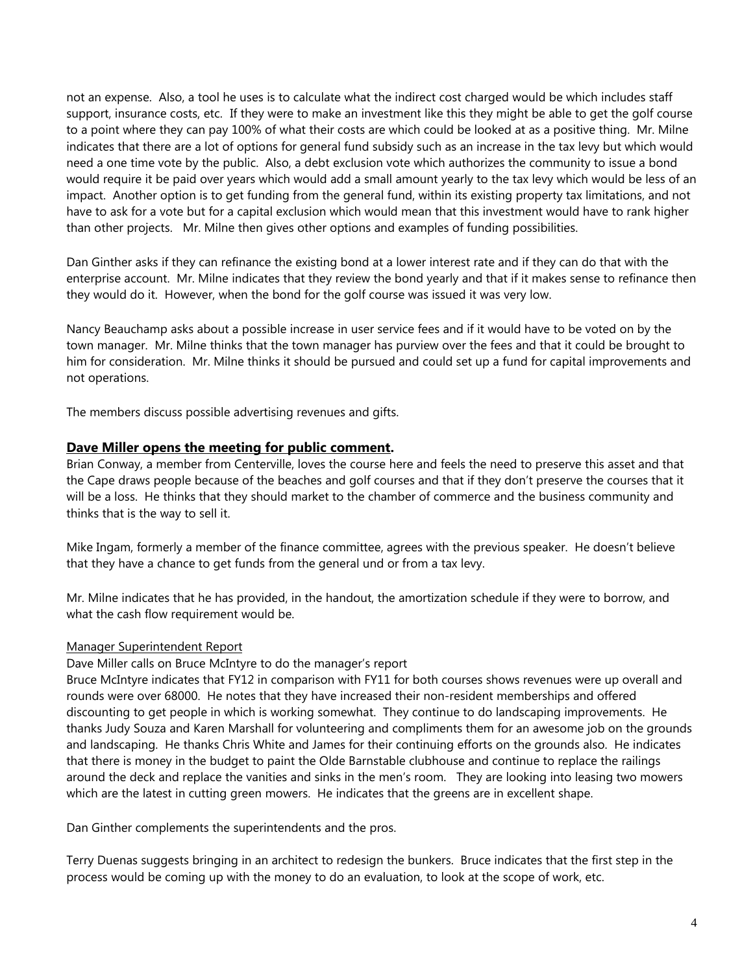not an expense. Also, a tool he uses is to calculate what the indirect cost charged would be which includes staff support, insurance costs, etc.If they were to make an investment like this they might be able to get the golf course to a point where they can pay 100% of what their costs are which could be looked at as a positive thing. Mr. Milne indicates that there are a lot of options for general fund subsidy such as an increase in the tax levy but which would need a one time vote by the public. Also, a debt exclusion vote which authorizes the community to issue a bond would require it be paid over years which would add a small amount yearly to the tax levy which would be less of an impact. Another option is to get funding from the general fund, within its existing property tax limitations, and not have to ask for a vote but for a capital exclusion which would mean that this investment would have to rank higher than other projects. Mr. Milne then gives other options and examples of funding possibilities.

Dan Ginther asks if they can refinance the existing bond at a lower interest rate and if they can do that with the enterprise account. Mr. Milne indicates that they review the bond yearly and that if it makes sense to refinance then they would do it. However, when the bond for the golf course was issued it was very low.

Nancy Beauchamp asks about a possible increase in user service fees and if it would have to be voted on by the town manager. Mr. Milne thinks that the town manager has purview over the fees and that it could be brought to him for consideration. Mr. Milne thinks it should be pursued and could set up a fund for capital improvements and not operations.

The members discuss possible advertising revenues and gifts.

#### **Dave Miller opens the meeting for public comment.**

Brian Conway, a member from Centerville, loves the course here and feels the need to preserve this asset and that the Cape draws people because of the beaches and golf courses and that if they don't preserve the courses that it will be a loss. He thinks that they should market to the chamber of commerce and the business community and thinks that is the way to sell it.

Mike Ingam, formerly a member of the finance committee, agrees with the previous speaker. He doesn't believe that they have a chance to get funds from the general und or from a tax levy.

Mr. Milne indicates that he has provided, in the handout, the amortization schedule if they were to borrow, and what the cash flow requirement would be.

#### Manager Superintendent Report

Dave Miller calls on Bruce McIntyre to do the manager's report

Bruce McIntyre indicates that FY12 in comparison with FY11 for both courses shows revenues were up overall and rounds were over 68000. He notes that they have increased their non-resident memberships and offered discounting to get people in which is working somewhat. They continue to do landscaping improvements. He thanks Judy Souza and Karen Marshall for volunteering and compliments them for an awesome job on the grounds and landscaping. He thanks Chris White and James for their continuing efforts on the grounds also. He indicates that there is money in the budget to paint the Olde Barnstable clubhouse and continue to replace the railings around the deck and replace the vanities and sinks in the men's room. They are looking into leasing two mowers which are the latest in cutting green mowers. He indicates that the greens are in excellent shape.

Dan Ginther complements the superintendents and the pros.

Terry Duenas suggests bringing in an architect to redesign the bunkers. Bruce indicates that the first step in the process would be coming up with the money to do an evaluation, to look at the scope of work, etc.